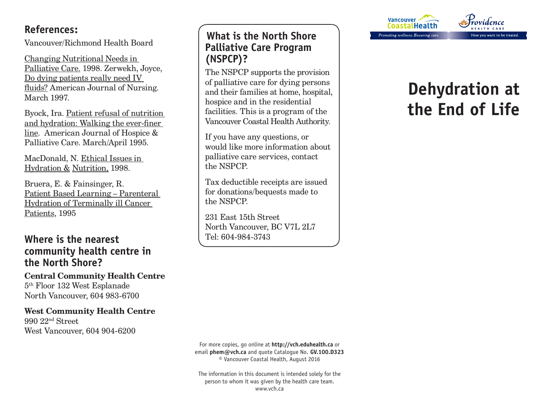## **References:**

Vancouver/Richmond Health Board

Changing Nutritional Needs in Palliative Care. 1998. Zerwekh, Joyce, Do dying patients really need IV fluids? American Journal of Nursing. March 1997.

Byock, Ira. Patient refusal of nutrition and hydration: Walking the ever-finer line. American Journal of Hospice & Palliative Care. March/April 1995.

MacDonald, N. Ethical Issues in Hydration & Nutrition, 1998.

Bruera, E. & Fainsinger, R. Patient Based Learning – Parenteral Hydration of Terminally ill Cancer Patients, 1995

## **Where is the nearest community health centre in the North Shore?**

**Central Community Health Centre** 5th Floor 132 West Esplanade North Vancouver, 604 983-6700

**West Community Health Centre** 990 22nd Street West Vancouver, 604 904-6200

## **What is the North Shore Palliative Care Program (NSPCP)?**

The NSPCP supports the provision of palliative care for dying persons and their families at home, hospital, hospice and in the residential facilities. This is a program of the Vancouver Coastal Health Authority.

If you have any questions, or would like more information about palliative care services, contact the NSPCP.

Tax deductible receipts are issued for donations/bequests made to the NSPCP.

231 East 15th Street North Vancouver, BC V7L 2L7 Tel: 604-984-3743



# **Dehydration at the End of Life**

For more copies, go online at **http://vch.eduhealth.ca** or email **phem@vch.ca** and quote Catalogue No. **GV.100.D323**  © Vancouver Coastal Health, August 2016

The information in this document is intended solely for the person to whom it was given by the health care team. www.vch.ca